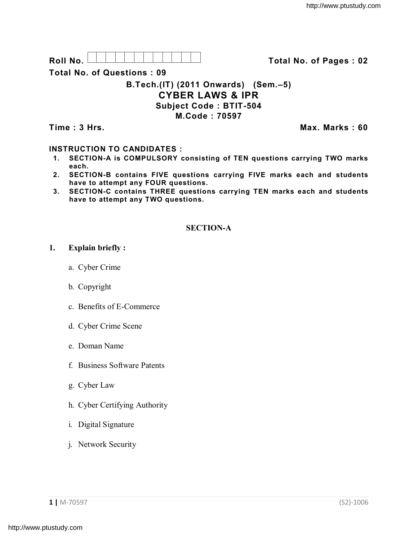Roll No. <u>And I And I Alexander Hermitide Colle</u> College Total No. of Pages : 02

**Total No. of Questions : 09**

# **B.Tech.(IT) (2011 Onwards) (Sem.–5) CYBER LAWS & IPR Subject Code : BTIT-504 M.Code : 70597**

**Time : 3 Hrs.** Max. Marks : 60

# **INSTRUCTION TO CANDIDATES :**

- **1. SECTION-A is COMPULSORY consisting of TEN questions carrying TWO marks each.**
- **2. SECTION-B contains FIVE questions carrying FIVE marks each and students have to attempt any FOUR questions.**
- **3. SECTION-C contains THREE questions carrying TEN marks each and students have to attempt any TWO questions.**

# **SECTION-A**

### **1. Explain briefly :**

- a. Cyber Crime
- b. Copyright
- c. Benefits of E-Commerce
- d. Cyber Crime Scene
- e. Doman Name
- f. Business Software Patents
- g. Cyber Law
- h. Cyber Certifying Authority
- i. Digital Signature
- j. Network Security